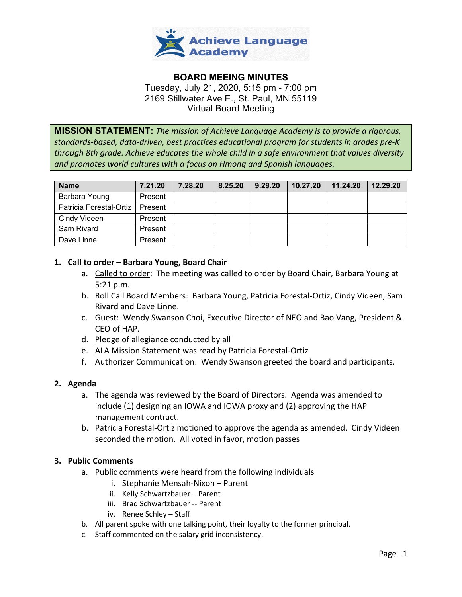

# **BOARD MEEING MINUTES** Tuesday, July 21, 2020, 5:15 pm - 7:00 pm 2169 Stillwater Ave E., St. Paul, MN 55119 Virtual Board Meeting

**MISSION STATEMENT:** *The mission of Achieve Language Academy is to provide a rigorous, standards-based, data-driven, best practices educational program for students in grades pre-K through 8th grade. Achieve educates the whole child in a safe environment that values diversity and promotes world cultures with a focus on Hmong and Spanish languages.*

| <b>Name</b>             | 7.21.20 | 7.28.20 | 8.25.20 | 9.29.20 | 10.27.20 | 11.24.20 | 12.29.20 |
|-------------------------|---------|---------|---------|---------|----------|----------|----------|
| Barbara Young           | Present |         |         |         |          |          |          |
| Patricia Forestal-Ortiz | Present |         |         |         |          |          |          |
| Cindy Videen            | Present |         |         |         |          |          |          |
| Sam Rivard              | Present |         |         |         |          |          |          |
| Dave Linne              | Present |         |         |         |          |          |          |

## **1. Call to order – Barbara Young, Board Chair**

- a. Called to order: The meeting was called to order by Board Chair, Barbara Young at 5:21 p.m.
- b. Roll Call Board Members: Barbara Young, Patricia Forestal-Ortiz, Cindy Videen, Sam Rivard and Dave Linne.
- c. Guest: Wendy Swanson Choi, Executive Director of NEO and Bao Vang, President & CEO of HAP.
- d. Pledge of allegiance conducted by all
- e. ALA Mission Statement was read by Patricia Forestal-Ortiz
- f. Authorizer Communication: Wendy Swanson greeted the board and participants.

## **2. Agenda**

- a. The agenda was reviewed by the Board of Directors. Agenda was amended to include (1) designing an IOWA and IOWA proxy and (2) approving the HAP management contract.
- b. Patricia Forestal-Ortiz motioned to approve the agenda as amended. Cindy Videen seconded the motion. All voted in favor, motion passes

## **3. Public Comments**

- a. Public comments were heard from the following individuals
	- i. Stephanie Mensah-Nixon Parent
	- ii. Kelly Schwartzbauer Parent
	- iii. Brad Schwartzbauer -- Parent
	- iv. Renee Schley Staff
- b. All parent spoke with one talking point, their loyalty to the former principal.
- c. Staff commented on the salary grid inconsistency.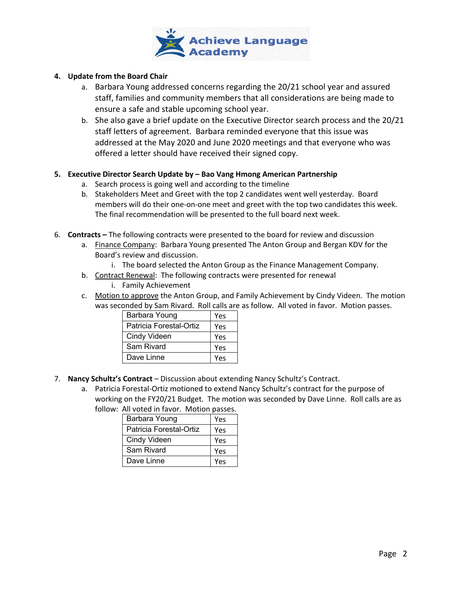

### **4. Update from the Board Chair**

- a. Barbara Young addressed concerns regarding the 20/21 school year and assured staff, families and community members that all considerations are being made to ensure a safe and stable upcoming school year.
- b. She also gave a brief update on the Executive Director search process and the 20/21 staff letters of agreement. Barbara reminded everyone that this issue was addressed at the May 2020 and June 2020 meetings and that everyone who was offered a letter should have received their signed copy.

### **5. Executive Director Search Update by – Bao Vang Hmong American Partnership**

- a. Search process is going well and according to the timeline
- b. Stakeholders Meet and Greet with the top 2 candidates went well yesterday. Board members will do their one-on-one meet and greet with the top two candidates this week. The final recommendation will be presented to the full board next week.
- 6. **Contracts –** The following contracts were presented to the board for review and discussion
	- a. Finance Company: Barbara Young presented The Anton Group and Bergan KDV for the Board's review and discussion.
		- i. The board selected the Anton Group as the Finance Management Company.
	- b. Contract Renewal: The following contracts were presented for renewal i. Family Achievement
	- c. Motion to approve the Anton Group, and Family Achievement by Cindy Videen. The motion was seconded by Sam Rivard. Roll calls are as follow. All voted in favor. Motion passes.

| Barbara Young           | Yes |
|-------------------------|-----|
| Patricia Forestal-Ortiz | Yes |
| Cindy Videen            | Yes |
| Sam Rivard              | Yes |
| Dave Linne              | Υρς |

- 7. **Nancy Schultz's Contract** Discussion about extending Nancy Schultz's Contract.
	- a. Patricia Forestal-Ortiz motioned to extend Nancy Schultz's contract for the purpose of working on the FY20/21 Budget. The motion was seconded by Dave Linne. Roll calls are as follow: All voted in favor. Motion passes.

| Barbara Young           | Yes |
|-------------------------|-----|
| Patricia Forestal-Ortiz | Yes |
| Cindy Videen            | Yes |
| Sam Rivard              | Yes |
| Dave Linne              | Υρς |